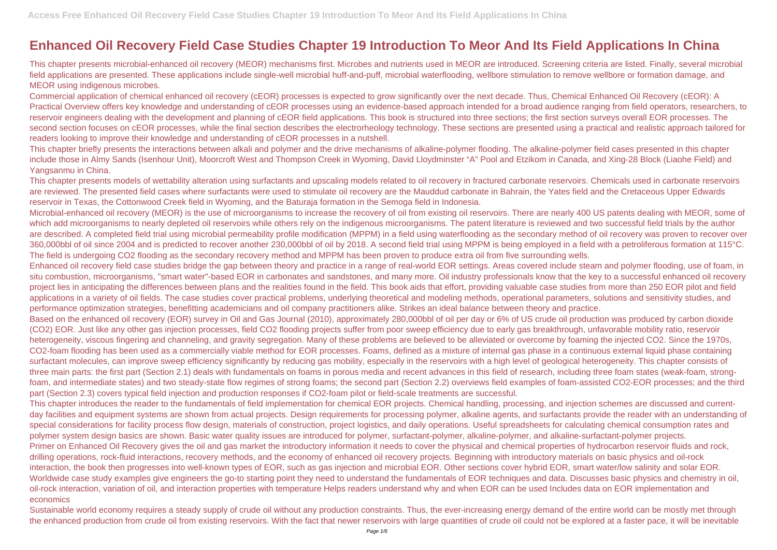## **Enhanced Oil Recovery Field Case Studies Chapter 19 Introduction To Meor And Its Field Applications In China**

This chapter presents microbial-enhanced oil recovery (MEOR) mechanisms first. Microbes and nutrients used in MEOR are introduced. Screening criteria are listed. Finally, several microbial field applications are presented. These applications include single-well microbial huff-and-puff, microbial waterflooding, wellbore stimulation to remove wellbore or formation damage, and MEOR using indigenous microbes.

Commercial application of chemical enhanced oil recovery (cEOR) processes is expected to grow significantly over the next decade. Thus, Chemical Enhanced Oil Recovery (cEOR): A Practical Overview offers key knowledge and understanding of cEOR processes using an evidence-based approach intended for a broad audience ranging from field operators, researchers, to reservoir engineers dealing with the development and planning of cEOR field applications. This book is structured into three sections; the first section surveys overall EOR processes. The second section focuses on cEOR processes, while the final section describes the electrorheology technology. These sections are presented using a practical and realistic approach tailored for readers looking to improve their knowledge and understanding of cEOR processes in a nutshell.

This chapter briefly presents the interactions between alkali and polymer and the drive mechanisms of alkaline-polymer flooding. The alkaline-polymer field cases presented in this chapter include those in Almy Sands (Isenhour Unit), Moorcroft West and Thompson Creek in Wyoming, David Lloydminster "A" Pool and Etzikom in Canada, and Xing-28 Block (Liaohe Field) and Yangsanmu in China.

This chapter presents models of wettability alteration using surfactants and upscaling models related to oil recovery in fractured carbonate reservoirs. Chemicals used in carbonate reservoirs are reviewed. The presented field cases where surfactants were used to stimulate oil recovery are the Mauddud carbonate in Bahrain, the Yates field and the Cretaceous Upper Edwards reservoir in Texas, the Cottonwood Creek field in Wyoming, and the Baturaja formation in the Semoga field in Indonesia.

Microbial-enhanced oil recovery (MEOR) is the use of microorganisms to increase the recovery of oil from existing oil reservoirs. There are nearly 400 US patents dealing with MEOR, some of which add microorganisms to nearly depleted oil reservoirs while others rely on the indigenous microorganisms. The patent literature is reviewed and two successful field trials by the author are described. A completed field trial using microbial permeability profile modification (MPPM) in a field using waterflooding as the secondary method of oil recovery was proven to recover over 360,000bbl of oil since 2004 and is predicted to recover another 230,000bbl of oil by 2018. A second field trial using MPPM is being employed in a field with a petroliferous formation at 115°C. The field is undergoing CO2 flooding as the secondary recovery method and MPPM has been proven to produce extra oil from five surrounding wells. Enhanced oil recovery field case studies bridge the gap between theory and practice in a range of real-world EOR settings. Areas covered include steam and polymer flooding, use of foam, in situ combustion, microorganisms, "smart water"-based EOR in carbonates and sandstones, and many more. Oil industry professionals know that the key to a successful enhanced oil recovery project lies in anticipating the differences between plans and the realities found in the field. This book aids that effort, providing valuable case studies from more than 250 EOR pilot and field applications in a variety of oil fields. The case studies cover practical problems, underlying theoretical and modeling methods, operational parameters, solutions and sensitivity studies, and performance optimization strategies, benefitting academicians and oil company practitioners alike. Strikes an ideal balance between theory and practice. Based on the enhanced oil recovery (EOR) survey in Oil and Gas Journal (2010), approximately 280,000bbl of oil per day or 6% of US crude oil production was produced by carbon dioxide (CO2) EOR. Just like any other gas injection processes, field CO2 flooding projects suffer from poor sweep efficiency due to early gas breakthrough, unfavorable mobility ratio, reservoir heterogeneity, viscous fingering and channeling, and gravity segregation. Many of these problems are believed to be alleviated or overcome by foaming the injected CO2. Since the 1970s, CO2-foam flooding has been used as a commercially viable method for EOR processes. Foams, defined as a mixture of internal gas phase in a continuous external liquid phase containing surfactant molecules, can improve sweep efficiency significantly by reducing gas mobility, especially in the reservoirs with a high level of geological heterogeneity. This chapter consists of three main parts: the first part (Section 2.1) deals with fundamentals on foams in porous media and recent advances in this field of research, including three foam states (weak-foam, strongfoam, and intermediate states) and two steady-state flow regimes of strong foams; the second part (Section 2.2) overviews field examples of foam-assisted CO2-EOR processes; and the third part (Section 2.3) covers typical field injection and production responses if CO2-foam pilot or field-scale treatments are successful.

Sustainable world economy requires a steady supply of crude oil without any production constraints. Thus, the ever-increasing energy demand of the entire world can be mostly met through the enhanced production from crude oil from existing reservoirs. With the fact that newer reservoirs with large quantities of crude oil could not be explored at a faster pace, it will be inevitable

This chapter introduces the reader to the fundamentals of field implementation for chemical EOR projects. Chemical handling, processing, and injection schemes are discussed and currentday facilities and equipment systems are shown from actual projects. Design requirements for processing polymer, alkaline agents, and surfactants provide the reader with an understanding of special considerations for facility process flow design, materials of construction, project logistics, and daily operations. Useful spreadsheets for calculating chemical consumption rates and polymer system design basics are shown. Basic water quality issues are introduced for polymer, surfactant-polymer, alkaline-polymer, and alkaline-surfactant-polymer projects. Primer on Enhanced Oil Recovery gives the oil and gas market the introductory information it needs to cover the physical and chemical properties of hydrocarbon reservoir fluids and rock, drilling operations, rock-fluid interactions, recovery methods, and the economy of enhanced oil recovery projects. Beginning with introductory materials on basic physics and oil-rock interaction, the book then progresses into well-known types of EOR, such as gas injection and microbial EOR. Other sections cover hybrid EOR, smart water/low salinity and solar EOR. Worldwide case study examples give engineers the go-to starting point they need to understand the fundamentals of EOR techniques and data. Discusses basic physics and chemistry in oil, oil-rock interaction, variation of oil, and interaction properties with temperature Helps readers understand why and when EOR can be used Includes data on EOR implementation and economics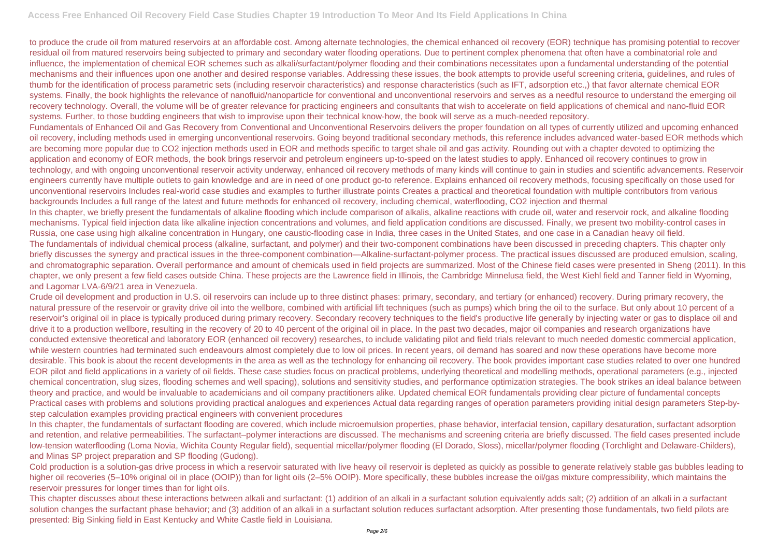to produce the crude oil from matured reservoirs at an affordable cost. Among alternate technologies, the chemical enhanced oil recovery (EOR) technique has promising potential to recover residual oil from matured reservoirs being subjected to primary and secondary water flooding operations. Due to pertinent complex phenomena that often have a combinatorial role and influence, the implementation of chemical EOR schemes such as alkali/surfactant/polymer flooding and their combinations necessitates upon a fundamental understanding of the potential mechanisms and their influences upon one another and desired response variables. Addressing these issues, the book attempts to provide useful screening criteria, guidelines, and rules of thumb for the identification of process parametric sets (including reservoir characteristics) and response characteristics (such as IFT, adsorption etc.,) that favor alternate chemical EOR systems. Finally, the book highlights the relevance of nanofluid/nanoparticle for conventional and unconventional reservoirs and serves as a needful resource to understand the emerging oil recovery technology. Overall, the volume will be of greater relevance for practicing engineers and consultants that wish to accelerate on field applications of chemical and nano-fluid EOR systems. Further, to those budding engineers that wish to improvise upon their technical know-how, the book will serve as a much-needed repository. Fundamentals of Enhanced Oil and Gas Recovery from Conventional and Unconventional Reservoirs delivers the proper foundation on all types of currently utilized and upcoming enhanced oil recovery, including methods used in emerging unconventional reservoirs. Going beyond traditional secondary methods, this reference includes advanced water-based EOR methods which are becoming more popular due to CO2 injection methods used in EOR and methods specific to target shale oil and gas activity. Rounding out with a chapter devoted to optimizing the application and economy of EOR methods, the book brings reservoir and petroleum engineers up-to-speed on the latest studies to apply. Enhanced oil recovery continues to grow in technology, and with ongoing unconventional reservoir activity underway, enhanced oil recovery methods of many kinds will continue to gain in studies and scientific advancements. Reservoir engineers currently have multiple outlets to gain knowledge and are in need of one product go-to reference. Explains enhanced oil recovery methods, focusing specifically on those used for unconventional reservoirs Includes real-world case studies and examples to further illustrate points Creates a practical and theoretical foundation with multiple contributors from various backgrounds Includes a full range of the latest and future methods for enhanced oil recovery, including chemical, waterflooding, CO2 injection and thermal In this chapter, we briefly present the fundamentals of alkaline flooding which include comparison of alkalis, alkaline reactions with crude oil, water and reservoir rock, and alkaline flooding mechanisms. Typical field injection data like alkaline injection concentrations and volumes, and field application conditions are discussed. Finally, we present two mobility-control cases in Russia, one case using high alkaline concentration in Hungary, one caustic-flooding case in India, three cases in the United States, and one case in a Canadian heavy oil field. The fundamentals of individual chemical process (alkaline, surfactant, and polymer) and their two-component combinations have been discussed in preceding chapters. This chapter only briefly discusses the synergy and practical issues in the three-component combination—Alkaline-surfactant-polymer process. The practical issues discussed are produced emulsion, scaling, and chromatographic separation. Overall performance and amount of chemicals used in field projects are summarized. Most of the Chinese field cases were presented in Sheng (2011). In this chapter, we only present a few field cases outside China. These projects are the Lawrence field in Illinois, the Cambridge Minnelusa field, the West Kiehl field and Tanner field in Wyoming, and Lagomar LVA-6/9/21 area in Venezuela.

Crude oil development and production in U.S. oil reservoirs can include up to three distinct phases: primary, secondary, and tertiary (or enhanced) recovery. During primary recovery, the natural pressure of the reservoir or gravity drive oil into the wellbore, combined with artificial lift techniques (such as pumps) which bring the oil to the surface. But only about 10 percent of a reservoir's original oil in place is typically produced during primary recovery. Secondary recovery techniques to the field's productive life generally by injecting water or gas to displace oil and drive it to a production wellbore, resulting in the recovery of 20 to 40 percent of the original oil in place. In the past two decades, major oil companies and research organizations have conducted extensive theoretical and laboratory EOR (enhanced oil recovery) researches, to include validating pilot and field trials relevant to much needed domestic commercial application, while western countries had terminated such endeavours almost completely due to low oil prices. In recent years, oil demand has soared and now these operations have become more desirable. This book is about the recent developments in the area as well as the technology for enhancing oil recovery. The book provides important case studies related to over one hundred EOR pilot and field applications in a variety of oil fields. These case studies focus on practical problems, underlying theoretical and modelling methods, operational parameters (e.g., injected chemical concentration, slug sizes, flooding schemes and well spacing), solutions and sensitivity studies, and performance optimization strategies. The book strikes an ideal balance between theory and practice, and would be invaluable to academicians and oil company practitioners alike. Updated chemical EOR fundamentals providing clear picture of fundamental concepts Practical cases with problems and solutions providing practical analogues and experiences Actual data regarding ranges of operation parameters providing initial design parameters Step-bystep calculation examples providing practical engineers with convenient procedures

In this chapter, the fundamentals of surfactant flooding are covered, which include microemulsion properties, phase behavior, interfacial tension, capillary desaturation, surfactant adsorption and retention, and relative permeabilities. The surfactant–polymer interactions are discussed. The mechanisms and screening criteria are briefly discussed. The field cases presented include low-tension waterflooding (Loma Novia, Wichita County Regular field), sequential micellar/polymer flooding (El Dorado, Sloss), micellar/polymer flooding (Torchlight and Delaware-Childers), and Minas SP project preparation and SP flooding (Gudong).

Cold production is a solution-gas drive process in which a reservoir saturated with live heavy oil reservoir is depleted as quickly as possible to generate relatively stable gas bubbles leading to higher oil recoveries (5–10% original oil in place (OOIP)) than for light oils (2–5% OOIP). More specifically, these bubbles increase the oil/gas mixture compressibility, which maintains the reservoir pressures for longer times than for light oils.

This chapter discusses about these interactions between alkali and surfactant: (1) addition of an alkali in a surfactant solution equivalently adds salt; (2) addition of an alkali in a surfactant solution changes the surfactant phase behavior; and (3) addition of an alkali in a surfactant solution reduces surfactant adsorption. After presenting those fundamentals, two field pilots are presented: Big Sinking field in East Kentucky and White Castle field in Louisiana.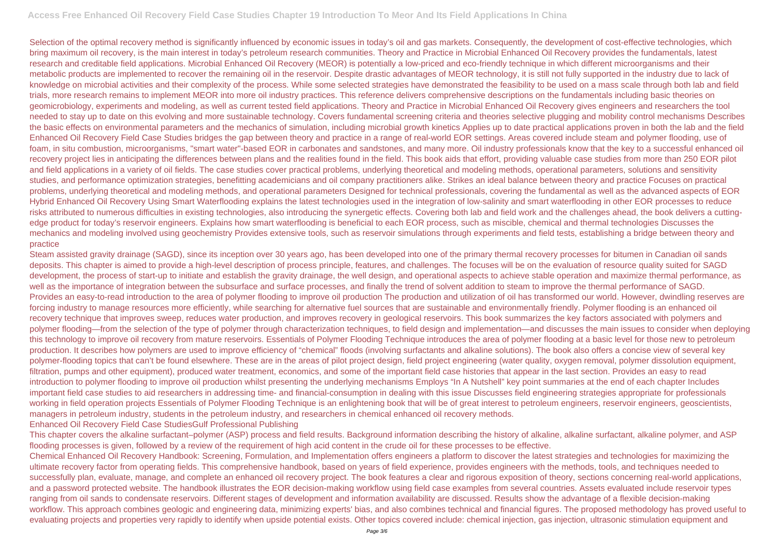Selection of the optimal recovery method is significantly influenced by economic issues in today's oil and gas markets. Consequently, the development of cost-effective technologies, which bring maximum oil recovery, is the main interest in today's petroleum research communities. Theory and Practice in Microbial Enhanced Oil Recovery provides the fundamentals, latest research and creditable field applications. Microbial Enhanced Oil Recovery (MEOR) is potentially a low-priced and eco-friendly technique in which different microorganisms and their metabolic products are implemented to recover the remaining oil in the reservoir. Despite drastic advantages of MEOR technology, it is still not fully supported in the industry due to lack of knowledge on microbial activities and their complexity of the process. While some selected strategies have demonstrated the feasibility to be used on a mass scale through both lab and field trials, more research remains to implement MEOR into more oil industry practices. This reference delivers comprehensive descriptions on the fundamentals including basic theories on geomicrobiology, experiments and modeling, as well as current tested field applications. Theory and Practice in Microbial Enhanced Oil Recovery gives engineers and researchers the tool needed to stay up to date on this evolving and more sustainable technology. Covers fundamental screening criteria and theories selective plugging and mobility control mechanisms Describes the basic effects on environmental parameters and the mechanics of simulation, including microbial growth kinetics Applies up to date practical applications proven in both the lab and the field Enhanced Oil Recovery Field Case Studies bridges the gap between theory and practice in a range of real-world EOR settings. Areas covered include steam and polymer flooding, use of foam, in situ combustion, microorganisms, "smart water"-based EOR in carbonates and sandstones, and many more. Oil industry professionals know that the key to a successful enhanced oil recovery project lies in anticipating the differences between plans and the realities found in the field. This book aids that effort, providing valuable case studies from more than 250 EOR pilot and field applications in a variety of oil fields. The case studies cover practical problems, underlying theoretical and modeling methods, operational parameters, solutions and sensitivity studies, and performance optimization strategies, benefitting academicians and oil company practitioners alike. Strikes an ideal balance between theory and practice Focuses on practical problems, underlying theoretical and modeling methods, and operational parameters Designed for technical professionals, covering the fundamental as well as the advanced aspects of EOR Hybrid Enhanced Oil Recovery Using Smart Waterflooding explains the latest technologies used in the integration of low-salinity and smart waterflooding in other EOR processes to reduce risks attributed to numerous difficulties in existing technologies, also introducing the synergetic effects. Covering both lab and field work and the challenges ahead, the book delivers a cuttingedge product for today's reservoir engineers. Explains how smart waterflooding is beneficial to each EOR process, such as miscible, chemical and thermal technologies Discusses the mechanics and modeling involved using geochemistry Provides extensive tools, such as reservoir simulations through experiments and field tests, establishing a bridge between theory and practice

Steam assisted gravity drainage (SAGD), since its inception over 30 years ago, has been developed into one of the primary thermal recovery processes for bitumen in Canadian oil sands deposits. This chapter is aimed to provide a high-level description of process principle, features, and challenges. The focuses will be on the evaluation of resource quality suited for SAGD development, the process of start-up to initiate and establish the gravity drainage, the well design, and operational aspects to achieve stable operation and maximize thermal performance, as well as the importance of integration between the subsurface and surface processes, and finally the trend of solvent addition to steam to improve the thermal performance of SAGD. Provides an easy-to-read introduction to the area of polymer flooding to improve oil production The production and utilization of oil has transformed our world. However, dwindling reserves are forcing industry to manage resources more efficiently, while searching for alternative fuel sources that are sustainable and environmentally friendly. Polymer flooding is an enhanced oil recovery technique that improves sweep, reduces water production, and improves recovery in geological reservoirs. This book summarizes the key factors associated with polymers and polymer flooding—from the selection of the type of polymer through characterization techniques, to field design and implementation—and discusses the main issues to consider when deploying this technology to improve oil recovery from mature reservoirs. Essentials of Polymer Flooding Technique introduces the area of polymer flooding at a basic level for those new to petroleum production. It describes how polymers are used to improve efficiency of "chemical" floods (involving surfactants and alkaline solutions). The book also offers a concise view of several key polymer-flooding topics that can't be found elsewhere. These are in the areas of pilot project design, field project engineering (water quality, oxygen removal, polymer dissolution equipment, filtration, pumps and other equipment), produced water treatment, economics, and some of the important field case histories that appear in the last section. Provides an easy to read introduction to polymer flooding to improve oil production whilst presenting the underlying mechanisms Employs "In A Nutshell" key point summaries at the end of each chapter Includes important field case studies to aid researchers in addressing time- and financial-consumption in dealing with this issue Discusses field engineering strategies appropriate for professionals working in field operation projects Essentials of Polymer Flooding Technique is an enlightening book that will be of great interest to petroleum engineers, reservoir engineers, geoscientists, managers in petroleum industry, students in the petroleum industry, and researchers in chemical enhanced oil recovery methods. Enhanced Oil Recovery Field Case StudiesGulf Professional Publishing

This chapter covers the alkaline surfactant–polymer (ASP) process and field results. Background information describing the history of alkaline, alkaline surfactant, alkaline polymer, and ASP flooding processes is given, followed by a review of the requirement of high acid content in the crude oil for these processes to be effective. Chemical Enhanced Oil Recovery Handbook: Screening, Formulation, and Implementation offers engineers a platform to discover the latest strategies and technologies for maximizing the ultimate recovery factor from operating fields. This comprehensive handbook, based on years of field experience, provides engineers with the methods, tools, and techniques needed to successfully plan, evaluate, manage, and complete an enhanced oil recovery project. The book features a clear and rigorous exposition of theory, sections concerning real-world applications, and a password protected website. The handbook illustrates the EOR decision-making workflow using field case examples from several countries. Assets evaluated include reservoir types ranging from oil sands to condensate reservoirs. Different stages of development and information availability are discussed. Results show the advantage of a flexible decision-making workflow. This approach combines geologic and engineering data, minimizing experts' bias, and also combines technical and financial figures. The proposed methodology has proved useful to evaluating projects and properties very rapidly to identify when upside potential exists. Other topics covered include: chemical injection, gas injection, ultrasonic stimulation equipment and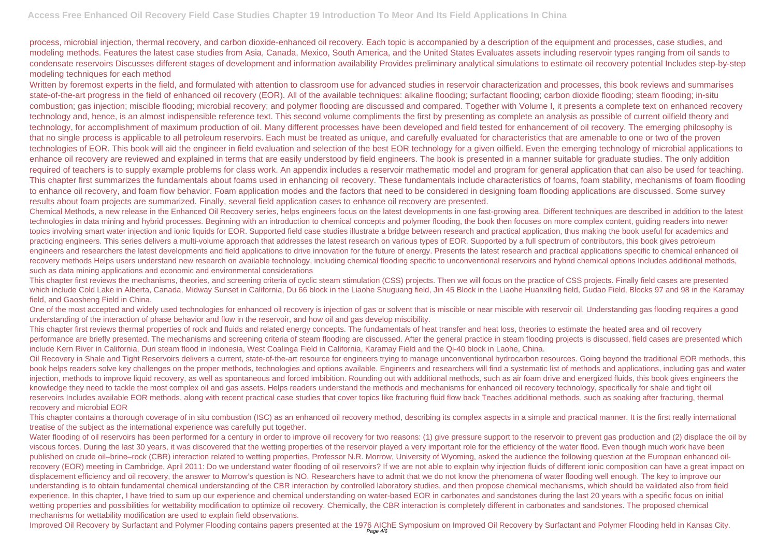process, microbial injection, thermal recovery, and carbon dioxide-enhanced oil recovery. Each topic is accompanied by a description of the equipment and processes, case studies, and modeling methods. Features the latest case studies from Asia, Canada, Mexico, South America, and the United States Evaluates assets including reservoir types ranging from oil sands to condensate reservoirs Discusses different stages of development and information availability Provides preliminary analytical simulations to estimate oil recovery potential Includes step-by-step modeling techniques for each method

Written by foremost experts in the field, and formulated with attention to classroom use for advanced studies in reservoir characterization and processes, this book reviews and summarises state-of-the-art progress in the field of enhanced oil recovery (EOR). All of the available techniques: alkaline flooding; surfactant flooding; carbon dioxide flooding; steam flooding; in-situ combustion; gas injection; miscible flooding; microbial recovery; and polymer flooding are discussed and compared. Together with Volume I, it presents a complete text on enhanced recovery technology and, hence, is an almost indispensible reference text. This second volume compliments the first by presenting as complete an analysis as possible of current oilfield theory and technology, for accomplishment of maximum production of oil. Many different processes have been developed and field tested for enhancement of oil recovery. The emerging philosophy is that no single process is applicable to all petroleum reservoirs. Each must be treated as unique, and carefully evaluated for characteristics that are amenable to one or two of the proven technologies of EOR. This book will aid the engineer in field evaluation and selection of the best EOR technology for a given oilfield. Even the emerging technology of microbial applications to enhance oil recovery are reviewed and explained in terms that are easily understood by field engineers. The book is presented in a manner suitable for graduate studies. The only addition required of teachers is to supply example problems for class work. An appendix includes a reservoir mathematic model and program for general application that can also be used for teaching. This chapter first summarizes the fundamentals about foams used in enhancing oil recovery. These fundamentals include characteristics of foams, foam stability, mechanisms of foam flooding to enhance oil recovery, and foam flow behavior. Foam application modes and the factors that need to be considered in designing foam flooding applications are discussed. Some survey results about foam projects are summarized. Finally, several field application cases to enhance oil recovery are presented.

One of the most accepted and widely used technologies for enhanced oil recovery is injection of gas or solvent that is miscible or near miscible with reservoir oil. Understanding gas flooding requires a good understanding of the interaction of phase behavior and flow in the reservoir, and how oil and gas develop miscibility.

Chemical Methods, a new release in the Enhanced Oil Recovery series, helps engineers focus on the latest developments in one fast-growing area. Different techniques are described in addition to the latest technologies in data mining and hybrid processes. Beginning with an introduction to chemical concepts and polymer flooding, the book then focuses on more complex content, guiding readers into newer topics involving smart water injection and ionic liquids for EOR. Supported field case studies illustrate a bridge between research and practical application, thus making the book useful for academics and practicing engineers. This series delivers a multi-volume approach that addresses the latest research on various types of EOR. Supported by a full spectrum of contributors, this book gives petroleum engineers and researchers the latest developments and field applications to drive innovation for the future of energy. Presents the latest research and practical applications specific to chemical enhanced oil recovery methods Helps users understand new research on available technology, including chemical flooding specific to unconventional reservoirs and hybrid chemical options Includes additional methods, such as data mining applications and economic and environmental considerations

Water flooding of oil reservoirs has been performed for a century in order to improve oil recovery for two reasons: (1) give pressure support to the reservoir to prevent gas production and (2) displace the oil by viscous forces. During the last 30 years, it was discovered that the wetting properties of the reservoir played a very important role for the efficiency of the water flood. Even though much work have been published on crude oil–brine–rock (CBR) interaction related to wetting properties, Professor N.R. Morrow, University of Wyoming, asked the audience the following question at the European enhanced oilrecovery (EOR) meeting in Cambridge, April 2011: Do we understand water flooding of oil reservoirs? If we are not able to explain why injection fluids of different ionic composition can have a great impact on displacement efficiency and oil recovery, the answer to Morrow's question is NO. Researchers have to admit that we do not know the phenomena of water flooding well enough. The key to improve our understanding is to obtain fundamental chemical understanding of the CBR interaction by controlled laboratory studies, and then propose chemical mechanisms, which should be validated also from field experience. In this chapter, I have tried to sum up our experience and chemical understanding on water-based EOR in carbonates and sandstones during the last 20 years with a specific focus on initial wetting properties and possibilities for wettability modification to optimize oil recovery. Chemically, the CBR interaction is completely different in carbonates and sandstones. The proposed chemical mechanisms for wettability modification are used to explain field observations.

This chapter first reviews the mechanisms, theories, and screening criteria of cyclic steam stimulation (CSS) projects. Then we will focus on the practice of CSS projects. Finally field cases are presented which include Cold Lake in Alberta, Canada, Midway Sunset in California, Du 66 block in the Liaohe Shuguang field, Jin 45 Block in the Liaohe Huanxiling field, Gudao Field, Blocks 97 and 98 in the Karamay field, and Gaosheng Field in China.

This chapter first reviews thermal properties of rock and fluids and related energy concepts. The fundamentals of heat transfer and heat loss, theories to estimate the heated area and oil recovery performance are briefly presented. The mechanisms and screening criteria of steam flooding are discussed. After the general practice in steam flooding projects is discussed, field cases are presented which include Kern River in California, Duri steam flood in Indonesia, West Coalinga Field in California, Karamay Field and the Qi-40 block in Laohe, China.

Oil Recovery in Shale and Tight Reservoirs delivers a current, state-of-the-art resource for engineers trying to manage unconventional hydrocarbon resources. Going beyond the traditional EOR methods, this book helps readers solve key challenges on the proper methods, technologies and options available. Engineers and researchers will find a systematic list of methods and applications, including gas and water injection, methods to improve liquid recovery, as well as spontaneous and forced imbibition. Rounding out with additional methods, such as air foam drive and energized fluids, this book gives engineers the knowledge they need to tackle the most complex oil and gas assets. Helps readers understand the methods and mechanisms for enhanced oil recovery technology, specifically for shale and tight oil reservoirs Includes available EOR methods, along with recent practical case studies that cover topics like fracturing fluid flow back Teaches additional methods, such as soaking after fracturing, thermal recovery and microbial EOR

This chapter contains a thorough coverage of in situ combustion (ISC) as an enhanced oil recovery method, describing its complex aspects in a simple and practical manner. It is the first really international treatise of the subject as the international experience was carefully put together.

Improved Oil Recovery by Surfactant and Polymer Flooding contains papers presented at the 1976 AIChE Symposium on Improved Oil Recovery by Surfactant and Polymer Flooding held in Kansas City. Page 4/6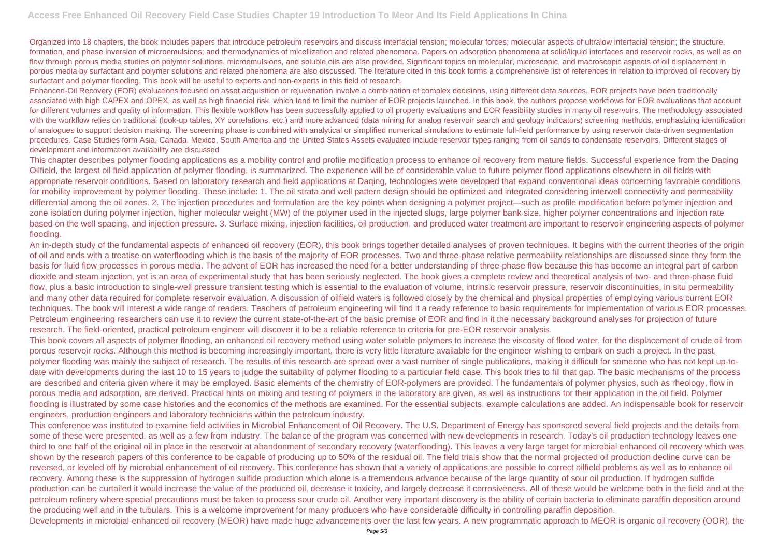Organized into 18 chapters, the book includes papers that introduce petroleum reservoirs and discuss interfacial tension; molecular forces; molecular aspects of ultralow interfacial tension; the structure, formation, and phase inversion of microemulsions; and thermodynamics of micellization and related phenomena. Papers on adsorption phenomena at solid/liquid interfaces and reservoir rocks, as well as on flow through porous media studies on polymer solutions, microemulsions, and soluble oils are also provided. Significant topics on molecular, microscopic, and macroscopic aspects of oil displacement in porous media by surfactant and polymer solutions and related phenomena are also discussed. The literature cited in this book forms a comprehensive list of references in relation to improved oil recovery by surfactant and polymer flooding. This book will be useful to experts and non-experts in this field of research.

Enhanced-Oil Recovery (EOR) evaluations focused on asset acquisition or rejuvenation involve a combination of complex decisions, using different data sources. EOR projects have been traditionally associated with high CAPEX and OPEX, as well as high financial risk, which tend to limit the number of EOR projects launched. In this book, the authors propose workflows for EOR evaluations that account for different volumes and quality of information. This flexible workflow has been successfully applied to oil property evaluations and EOR feasibility studies in many oil reservoirs. The methodology associated with the workflow relies on traditional (look-up tables, XY correlations, etc.) and more advanced (data mining for analog reservoir search and geology indicators) screening methods, emphasizing identification of analogues to support decision making. The screening phase is combined with analytical or simplified numerical simulations to estimate full-field performance by using reservoir data-driven segmentation procedures. Case Studies form Asia, Canada, Mexico, South America and the United States Assets evaluated include reservoir types ranging from oil sands to condensate reservoirs. Different stages of development and information availability are discussed

This chapter describes polymer flooding applications as a mobility control and profile modification process to enhance oil recovery from mature fields. Successful experience from the Daqing Oilfield, the largest oil field application of polymer flooding, is summarized. The experience will be of considerable value to future polymer flood applications elsewhere in oil fields with appropriate reservoir conditions. Based on laboratory research and field applications at Daqing, technologies were developed that expand conventional ideas concerning favorable conditions for mobility improvement by polymer flooding. These include: 1. The oil strata and well pattern design should be optimized and integrated considering interwell connectivity and permeability differential among the oil zones. 2. The injection procedures and formulation are the key points when designing a polymer project—such as profile modification before polymer injection and zone isolation during polymer injection, higher molecular weight (MW) of the polymer used in the injected slugs, large polymer bank size, higher polymer concentrations and injection rate based on the well spacing, and injection pressure. 3. Surface mixing, injection facilities, oil production, and produced water treatment are important to reservoir engineering aspects of polymer flooding.

An in-depth study of the fundamental aspects of enhanced oil recovery (EOR), this book brings together detailed analyses of proven techniques. It begins with the current theories of the origin of oil and ends with a treatise on waterflooding which is the basis of the majority of EOR processes. Two and three-phase relative permeability relationships are discussed since they form the basis for fluid flow processes in porous media. The advent of EOR has increased the need for a better understanding of three-phase flow because this has become an integral part of carbon dioxide and steam injection, yet is an area of experimental study that has been seriously neglected. The book gives a complete review and theoretical analysis of two- and three-phase fluid flow, plus a basic introduction to single-well pressure transient testing which is essential to the evaluation of volume, intrinsic reservoir pressure, reservoir discontinuities, in situ permeability and many other data required for complete reservoir evaluation. A discussion of oilfield waters is followed closely by the chemical and physical properties of employing various current EOR techniques. The book will interest a wide range of readers. Teachers of petroleum engineering will find it a ready reference to basic requirements for implementation of various EOR processes. Petroleum engineering researchers can use it to review the current state-of-the-art of the basic premise of EOR and find in it the necessary background analyses for projection of future research. The field-oriented, practical petroleum engineer will discover it to be a reliable reference to criteria for pre-EOR reservoir analysis.

This book covers all aspects of polymer flooding, an enhanced oil recovery method using water soluble polymers to increase the viscosity of flood water, for the displacement of crude oil from porous reservoir rocks. Although this method is becoming increasingly important, there is very little literature available for the engineer wishing to embark on such a project. In the past, polymer flooding was mainly the subject of research. The results of this research are spread over a vast number of single publications, making it difficult for someone who has not kept up-todate with developments during the last 10 to 15 years to judge the suitability of polymer flooding to a particular field case. This book tries to fill that gap. The basic mechanisms of the process are described and criteria given where it may be employed. Basic elements of the chemistry of EOR-polymers are provided. The fundamentals of polymer physics, such as rheology, flow in porous media and adsorption, are derived. Practical hints on mixing and testing of polymers in the laboratory are given, as well as instructions for their application in the oil field. Polymer flooding is illustrated by some case histories and the economics of the methods are examined. For the essential subjects, example calculations are added. An indispensable book for reservoir engineers, production engineers and laboratory technicians within the petroleum industry.

This conference was instituted to examine field activities in Microbial Enhancement of Oil Recovery. The U.S. Department of Energy has sponsored several field projects and the details from some of these were presented, as well as a few from industry. The balance of the program was concerned with new developments in research. Today's oil production technology leaves one third to one half of the original oil in place in the reservoir at abandonment of secondary recovery (waterflooding). This leaves a very large target for microbial enhanced oil recovery which was shown by the research papers of this conference to be capable of producing up to 50% of the residual oil. The field trials show that the normal projected oil production decline curve can be reversed, or leveled off by microbial enhancement of oil recovery. This conference has shown that a variety of applications are possible to correct oilfield problems as well as to enhance oil recovery. Among these is the suppression of hydrogen sulfide production which alone is a tremendous advance because of the large quantity of sour oil production. If hydrogen sulfide production can be curtailed it would increase the value of the produced oil, decrease it toxicity, and largely decrease it corrosiveness. All of these would be welcome both in the field and at the petroleum refinery where special precautions must be taken to process sour crude oil. Another very important discovery is the ability of certain bacteria to eliminate paraffin deposition around the producing well and in the tubulars. This is a welcome improvement for many producers who have considerable difficulty in controlling paraffin deposition. Developments in microbial-enhanced oil recovery (MEOR) have made huge advancements over the last few years. A new programmatic approach to MEOR is organic oil recovery (OOR), the